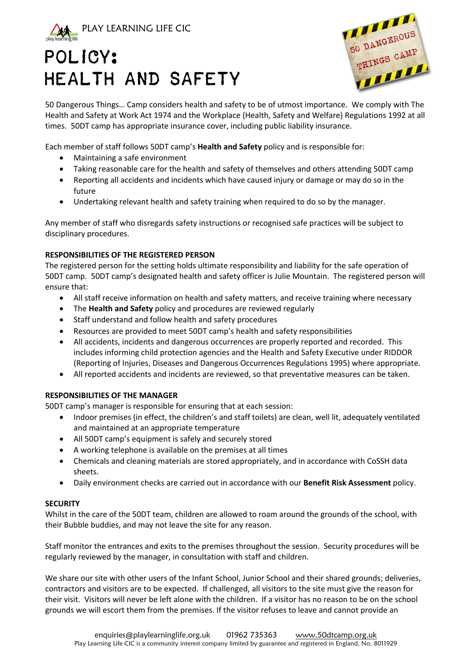

# POLICY: HEALTH AND SAFETY



50 Dangerous Things… Camp considers health and safety to be of utmost importance. We comply with The Health and Safety at Work Act 1974 and the Workplace (Health, Safety and Welfare) Regulations 1992 at all times. 50DT camp has appropriate insurance cover, including public liability insurance.

Each member of staff follows 50DT camp's **Health and Safety** policy and is responsible for:

- Maintaining a safe environment
- Taking reasonable care for the health and safety of themselves and others attending 50DT camp
- Reporting all accidents and incidents which have caused injury or damage or may do so in the future
- Undertaking relevant health and safety training when required to do so by the manager.

Any member of staff who disregards safety instructions or recognised safe practices will be subject to disciplinary procedures.

# **RESPONSIBILITIES OF THE REGISTERED PERSON**

The registered person for the setting holds ultimate responsibility and liability for the safe operation of 50DT camp. 50DT camp's designated health and safety officer is Julie Mountain. The registered person will ensure that:

- All staff receive information on health and safety matters, and receive training where necessary
- The **Health and Safety** policy and procedures are reviewed regularly
- Staff understand and follow health and safety procedures
- Resources are provided to meet 50DT camp's health and safety responsibilities
- All accidents, incidents and dangerous occurrences are properly reported and recorded. This includes informing child protection agencies and the Health and Safety Executive under RIDDOR (Reporting of Injuries, Diseases and Dangerous Occurrences Regulations 1995) where appropriate.
- All reported accidents and incidents are reviewed, so that preventative measures can be taken.

# **RESPONSIBILITIES OF THE MANAGER**

50DT camp's manager is responsible for ensuring that at each session:

- Indoor premises (in effect, the children's and staff toilets) are clean, well lit, adequately ventilated and maintained at an appropriate temperature
- All 50DT camp's equipment is safely and securely stored
- A working telephone is available on the premises at all times
- Chemicals and cleaning materials are stored appropriately, and in accordance with CoSSH data sheets.
- Daily environment checks are carried out in accordance with our **Benefit Risk Assessment** policy.

# **SECURITY**

Whilst in the care of the 50DT team, children are allowed to roam around the grounds of the school, with their Bubble buddies, and may not leave the site for any reason.

Staff monitor the entrances and exits to the premises throughout the session. Security procedures will be regularly reviewed by the manager, in consultation with staff and children.

We share our site with other users of the Infant School, Junior School and their shared grounds; deliveries, contractors and visitors are to be expected. If challenged, all visitors to the site must give the reason for their visit. Visitors will never be left alone with the children. If a visitor has no reason to be on the school grounds we will escort them from the premises. If the visitor refuses to leave and cannot provide an